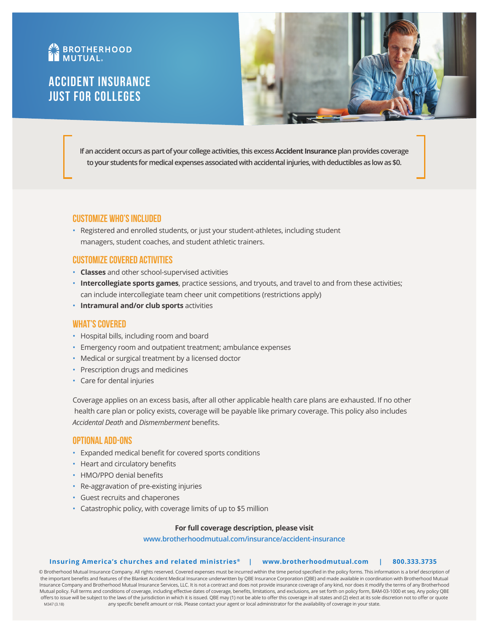# **AN BROTHERHOOD**

# Accident Insurance Just for Colleges



**If an accident occurs as part of your college activities, this excess Accident Insurance plan provides coverage to your students for medical expenses associated with accidental injuries, with deductibles as low as \$0.** 

# **Customize Who's Included**

• Registered and enrolled students, or just your student-athletes, including student managers, student coaches, and student athletic trainers.

# **Customize Covered Activities**

- **Classes** and other school-supervised activities
- **Intercollegiate sports games**, practice sessions, and tryouts, and travel to and from these activities; can include intercollegiate team cheer unit competitions (restrictions apply)
- **Intramural and/or club sports** activities

# **What's Covered**

- Hospital bills, including room and board
- Emergency room and outpatient treatment; ambulance expenses
- Medical or surgical treatment by a licensed doctor
- Prescription drugs and medicines
- Care for dental injuries

Coverage applies on an excess basis, after all other applicable health care plans are exhausted. If no other health care plan or policy exists, coverage will be payable like primary coverage. This policy also includes *Accidental Death* and *Dismemberment* benefits.

# **Optional Add-Ons**

- Expanded medical benefit for covered sports conditions
- Heart and circulatory benefits
- HMO/PPO denial benefits
- Re-aggravation of pre-existing injuries
- Guest recruits and chaperones
- Catastrophic policy, with coverage limits of up to \$5 million

# **For full coverage description, please visit**

# **www.brotherhoodmutual.com/insurance/accident-insurance**

### **Insuring America's churches and related ministries ® | www.brotherhoodmutual.com | 800.333.3735**

© Brotherhood Mutual Insurance Company. All rights reserved. Covered expenses must be incurred within the time period specified in the policy forms. This information is a brief description of the important benefits and features of the Blanket Accident Medical Insurance underwritten by QBE Insurance Corporation (QBE) and made available in coordination with Brotherhood Mutual Insurance Company and Brotherhood Mutual Insurance Services, LLC. It is not a contract and does not provide insurance coverage of any kind, nor does it modify the terms of any Brotherhood Mutual policy. Full terms and conditions of coverage, including effective dates of coverage, benefits, limitations, and exclusions, are set forth on policy form, BAM-03-1000 et seq. Any policy QBE offers to issue will be subject to the laws of the jurisdiction in which it is issued. QBE may (1) not be able to offer this coverage in all states and (2) elect at its sole discretion not to offer or quote any specific benefit amount or risk. Please contact your agent or local administrator for the availability of coverage in your state. M347 (3.18)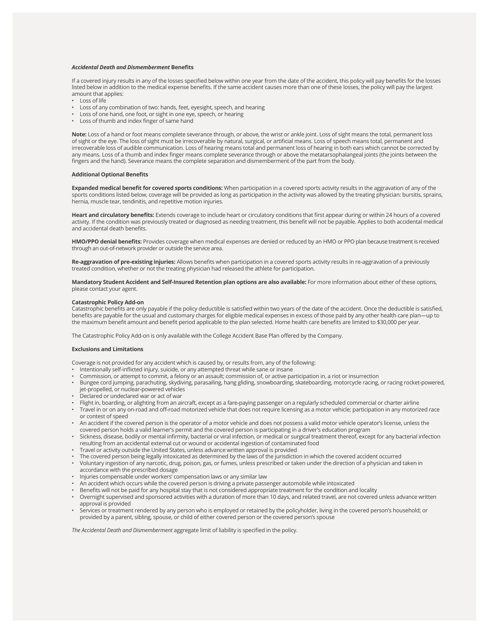#### *Accidental Death and Dismemberment* **Benefits**

If a covered injury results in any of the losses specified below within one year from the date of the accident, this policy will pay benefits for the losses listed below in addition to the medical expense benefits. If the same accident causes more than one of these losses, the policy will pay the largest amount that applies:

- Loss of life
- Loss of any combination of two: hands, feet, eyesight, speech, and hearing
- Loss of one hand, one foot, or sight in one eye, speech, or hearing
- Loss of thumb and index finger of same hand

**Note:** Loss of a hand or foot means complete severance through, or above, the wrist or ankle joint. Loss of sight means the total, permanent loss of sight or the eye. The loss of sight must be irrecoverable by natural, surgical, or artificial means. Loss of speech means total, permanent and irrecoverable loss of audible communication. Loss of hearing means total and permanent loss of hearing in both ears which cannot be corrected by any means. Loss of a thumb and index finger means complete severance through or above the metatarsophalangeal joints (the joints between the fingers and the hand). Severance means the complete separation and dismemberment of the part from the body.

#### **Additional Optional Benefits**

**Expanded medical benefit for covered sports conditions:** When participation in a covered sports activity results in the aggravation of any of the sports conditions listed below, coverage will be provided as long as participation in the activity was allowed by the treating physician: bursitis, sprains, hernia, muscle tear, tendinitis, and repetitive motion injuries.

**Heart and circulatory benefits:** Extends coverage to include heart or circulatory conditions that first appear during or within 24 hours of a covered activity. If the condition was previously treated or diagnosed as needing treatment, this benefit will not be payable. Applies to both accidental medical and accidental death benefits.

**HMO/PPO denial benefits:** Provides coverage when medical expenses are denied or reduced by an HMO or PPO plan because treatment is received through an out-of-network provider or outside the service area.

**Re-aggravation of pre-existing injuries:** Allows benefits when participation in a covered sports activity results in re-aggravation of a previously treated condition, whether or not the treating physician had released the athlete for participation.

**Mandatory Student Accident and Self-Insured Retention plan options are also available:** For more information about either of these options, please contact your agent.

#### **Catastrophic Policy Add-on**

Catastrophic benefits are only payable if the policy deductible is satisfied within two years of the date of the accident. Once the deductible is satisfied, benefits are payable for the usual and customary charges for eligible medical expenses in excess of those paid by any other health care plan—up to the maximum benefit amount and benefit period applicable to the plan selected. Home health care benefits are limited to \$30,000 per year.

The Catastrophic Policy Add-on is only available with the College Accident Base Plan offered by the Company.

#### **Exclusions and Limitations**

Coverage is not provided for any accident which is caused by, or results from, any of the following:

- Intentionally self-inflicted injury, suicide, or any attempted threat while sane or insane
- Commission, or attempt to commit, a felony or an assault; commission of, or active participation in, a riot or insurrection
- Bungee cord jumping, parachuting, skydiving, parasailing, hang gliding, snowboarding, skateboarding, motorcycle racing, or racing rocket-powered, jet-propelled, or nuclear-powered vehicles
- Declared or undeclared war or act of war
- Flight in, boarding, or alighting from an aircraft, except as a fare-paying passenger on a regularly scheduled commercial or charter airline
- Travel in or on any on-road and off-road motorized vehicle that does not require licensing as a motor vehicle; participation in any motorized race or contest of speed
- An accident if the covered person is the operator of a motor vehicle and does not possess a valid motor vehicle operator's license, unless the covered person holds a valid learner's permit and the covered person is participating in a driver's education program
- Sickness, disease, bodily or mental infirmity, bacterial or viral infection, or medical or surgical treatment thereof, except for any bacterial infection resulting from an accidental external cut or wound or accidental ingestion of contaminated food
- Travel or activity outside the United States, unless advance written approval is provided
- The covered person being legally intoxicated as determined by the laws of the jurisdiction in which the covered accident occurred
- Voluntary ingestion of any narcotic, drug, poison, gas, or fumes, unless prescribed or taken under the direction of a physician and taken in accordance with the prescribed dosage
- Injuries compensable under workers' compensation laws or any similar law
- An accident which occurs while the covered person is driving a private passenger automobile while intoxicated
- Benefits will not be paid for any hospital stay that is not considered appropriate treatment for the condition and locality
- Overnight supervised and sponsored activities with a duration of more than 10 days, and related travel, are not covered unless advance written approval is provided
- Services or treatment rendered by any person who is employed or retained by the policyholder, living in the covered person's household; or provided by a parent, sibling, spouse, or child of either covered person or the covered person's spouse

*The Accidental Death and Dismemberment* aggregate limit of liability is specified in the policy.